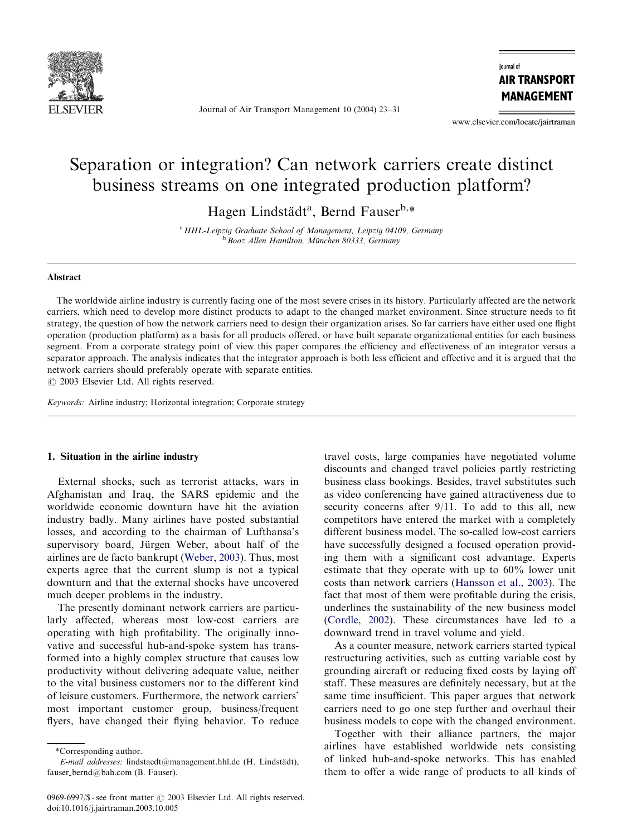

Journal of Air Transport Management 10 (2004) 23–31

lournal of **AIR TRANSPORT MANAGEMENT** 

www.elsevier.com/locate/jairtraman

## Separation or integration? Can network carriers create distinct business streams on one integrated production platform?

Hagen Lindstädt<sup>a</sup>, Bernd Fauser<sup>b,\*</sup>

<sup>a</sup> HHL-Leipzig Graduate School of Management, Leipzig 04109, Germany **b** Booz Allen Hamilton, München 80333, Germany

#### Abstract

The worldwide airline industry is currently facing one of the most severe crises in its history. Particularly affected are the network carriers, which need to develop more distinct products to adapt to the changed market environment. Since structure needs to fit strategy, the question of how the network carriers need to design their organization arises. So far carriers have either used one flight operation (production platform) as a basis for all products offered, or have built separate organizational entities for each business segment. From a corporate strategy point of view this paper compares the efficiency and effectiveness of an integrator versus a separator approach. The analysis indicates that the integrator approach is both less efficient and effective and it is argued that the network carriers should preferably operate with separate entities.

 $\odot$  2003 Elsevier Ltd. All rights reserved.

Keywords: Airline industry; Horizontal integration; Corporate strategy

#### 1. Situation in the airline industry

External shocks, such as terrorist attacks, wars in Afghanistan and Iraq, the SARS epidemic and the worldwide economic downturn have hit the aviation industry badly. Many airlines have posted substantial losses, and according to the chairman of Lufthansa's supervisory board, Jürgen Weber, about half of the airlines are de facto bankrupt [\(Weber, 2003](#page--1-0)). Thus, most experts agree that the current slump is not a typical downturn and that the external shocks have uncovered much deeper problems in the industry.

The presently dominant network carriers are particularly affected, whereas most low-cost carriers are operating with high profitability. The originally innovative and successful hub-and-spoke system has transformed into a highly complex structure that causes low productivity without delivering adequate value, neither to the vital business customers nor to the different kind of leisure customers. Furthermore, the network carriers' most important customer group, business/frequent flyers, have changed their flying behavior. To reduce

\*Corresponding author.

0969-6997/\$ - see front matter © 2003 Elsevier Ltd. All rights reserved. doi:10.1016/j.jairtraman.2003.10.005

travel costs, large companies have negotiated volume discounts and changed travel policies partly restricting business class bookings. Besides, travel substitutes such as video conferencing have gained attractiveness due to security concerns after 9/11. To add to this all, new competitors have entered the market with a completely different business model. The so-called low-cost carriers have successfully designed a focused operation providing them with a significant cost advantage. Experts estimate that they operate with up to 60% lower unit costs than network carriers [\(Hansson et al., 2003\)](#page--1-0). The fact that most of them were profitable during the crisis, underlines the sustainability of the new business model [\(Cordle, 2002\)](#page--1-0). These circumstances have led to a downward trend in travel volume and yield.

As a counter measure, network carriers started typical restructuring activities, such as cutting variable cost by grounding aircraft or reducing fixed costs by laying off staff. These measures are definitely necessary, but at the same time insufficient. This paper argues that network carriers need to go one step further and overhaul their business models to cope with the changed environment.

Together with their alliance partners, the major airlines have established worldwide nets consisting of linked hub-and-spoke networks. This has enabled them to offer a wide range of products to all kinds of

E-mail addresses: lindstaedt@management.hhl.de (H. Lindstädt), fauser bernd@bah.com (B. Fauser).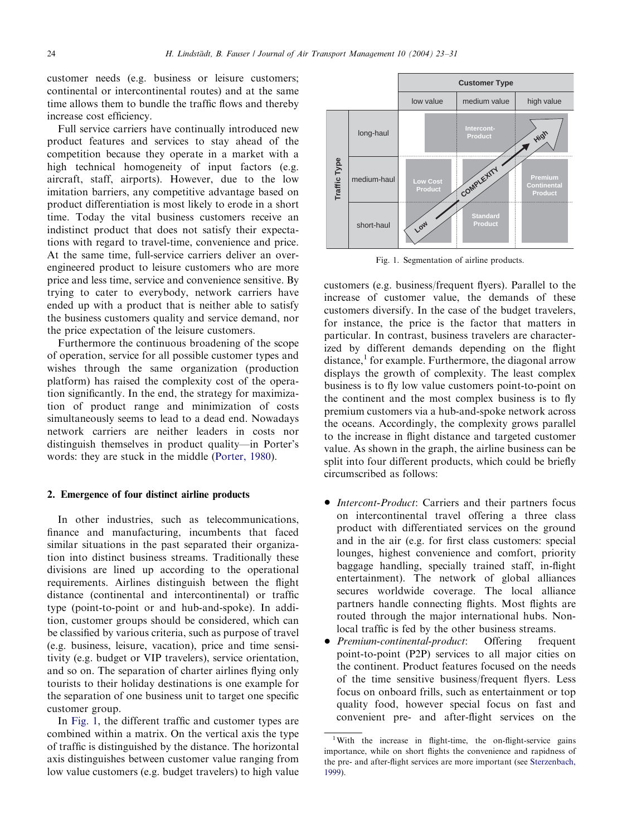customer needs (e.g. business or leisure customers; continental or intercontinental routes) and at the same time allows them to bundle the traffic flows and thereby increase cost efficiency.

Full service carriers have continually introduced new product features and services to stay ahead of the competition because they operate in a market with a high technical homogeneity of input factors (e.g. aircraft, staff, airports). However, due to the low imitation barriers, any competitive advantage based on product differentiation is most likely to erode in a short time. Today the vital business customers receive an indistinct product that does not satisfy their expectations with regard to travel-time, convenience and price. At the same time, full-service carriers deliver an overengineered product to leisure customers who are more price and less time, service and convenience sensitive. By trying to cater to everybody, network carriers have ended up with a product that is neither able to satisfy the business customers quality and service demand, nor the price expectation of the leisure customers.

Furthermore the continuous broadening of the scope of operation, service for all possible customer types and wishes through the same organization (production platform) has raised the complexity cost of the operation significantly. In the end, the strategy for maximization of product range and minimization of costs simultaneously seems to lead to a dead end. Nowadays network carriers are neither leaders in costs nor distinguish themselves in product quality—in Porter's words: they are stuck in the middle [\(Porter, 1980](#page--1-0)).

### 2. Emergence of four distinct airline products

In other industries, such as telecommunications, finance and manufacturing, incumbents that faced similar situations in the past separated their organization into distinct business streams. Traditionally these divisions are lined up according to the operational requirements. Airlines distinguish between the flight distance (continental and intercontinental) or traffic type (point-to-point or and hub-and-spoke). In addition, customer groups should be considered, which can be classified by various criteria, such as purpose of travel (e.g. business, leisure, vacation), price and time sensitivity (e.g. budget or VIP travelers), service orientation, and so on. The separation of charter airlines flying only tourists to their holiday destinations is one example for the separation of one business unit to target one specific customer group.

In Fig. 1, the different traffic and customer types are combined within a matrix. On the vertical axis the type of traffic is distinguished by the distance. The horizontal axis distinguishes between customer value ranging from low value customers (e.g. budget travelers) to high value



Fig. 1. Segmentation of airline products.

customers (e.g. business/frequent flyers). Parallel to the increase of customer value, the demands of these customers diversify. In the case of the budget travelers, for instance, the price is the factor that matters in particular. In contrast, business travelers are characterized by different demands depending on the flight distance, $\frac{1}{1}$  for example. Furthermore, the diagonal arrow displays the growth of complexity. The least complex business is to fly low value customers point-to-point on the continent and the most complex business is to fly premium customers via a hub-and-spoke network across the oceans. Accordingly, the complexity grows parallel to the increase in flight distance and targeted customer value. As shown in the graph, the airline business can be split into four different products, which could be briefly circumscribed as follows:

- *Intercont-Product*: Carriers and their partners focus on intercontinental travel offering a three class product with differentiated services on the ground and in the air (e.g. for first class customers: special lounges, highest convenience and comfort, priority baggage handling, specially trained staff, in-flight entertainment). The network of global alliances secures worldwide coverage. The local alliance partners handle connecting flights. Most flights are routed through the major international hubs. Nonlocal traffic is fed by the other business streams.
- Premium-continental-product: Offering frequent point-to-point (P2P) services to all major cities on the continent. Product features focused on the needs of the time sensitive business/frequent flyers. Less focus on onboard frills, such as entertainment or top quality food, however special focus on fast and convenient pre- and after-flight services on the

<sup>&</sup>lt;sup>1</sup>With the increase in flight-time, the on-flight-service gains importance, while on short flights the convenience and rapidness of the pre- and after-flight services are more important (see [Sterzenbach,](#page--1-0) [1999\)](#page--1-0).